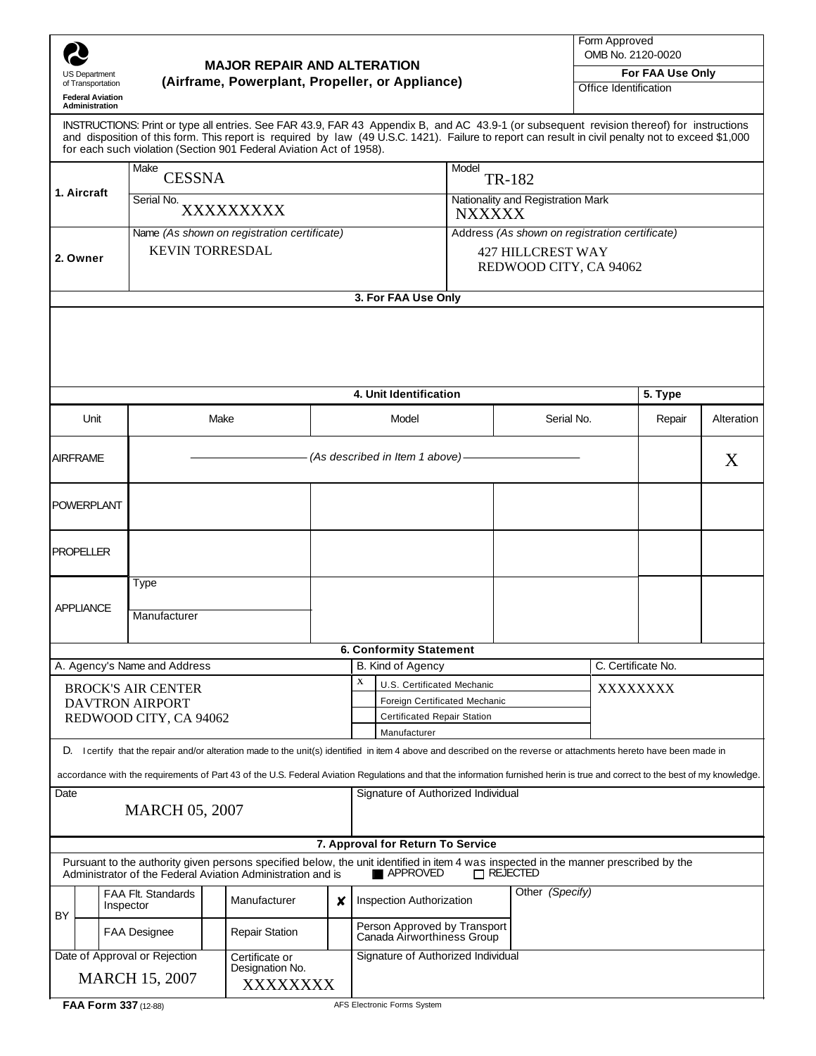|                                                                                                                                                                                                                 | <b>US Department</b><br>of Transportation<br><b>Federal Aviation</b><br>Administration | <b>MAJOR REPAIR AND ALTERATION</b><br>(Airframe, Powerplant, Propeller, or Appliance) |                                                                       |                                                                                                                                                                                                                           |                                                                                                                                                                                    |  |                                                                                                      | INSTRUCTIONS: Print or type all entries. See FAR 43.9, FAR 43 Appendix B, and AC 43.9-1 (or subsequent revision thereof) for instructions |  |                 |                    | Form Approved<br>OMB No. 2120-0020<br>For FAA Use Only<br>Office Identification |            |  |
|-----------------------------------------------------------------------------------------------------------------------------------------------------------------------------------------------------------------|----------------------------------------------------------------------------------------|---------------------------------------------------------------------------------------|-----------------------------------------------------------------------|---------------------------------------------------------------------------------------------------------------------------------------------------------------------------------------------------------------------------|------------------------------------------------------------------------------------------------------------------------------------------------------------------------------------|--|------------------------------------------------------------------------------------------------------|-------------------------------------------------------------------------------------------------------------------------------------------|--|-----------------|--------------------|---------------------------------------------------------------------------------|------------|--|
|                                                                                                                                                                                                                 |                                                                                        |                                                                                       |                                                                       | and disposition of this form. This report is required by law (49 U.S.C. 1421). Failure to report can result in civil penalty not to exceed \$1,000<br>for each such violation (Section 901 Federal Aviation Act of 1958). |                                                                                                                                                                                    |  |                                                                                                      |                                                                                                                                           |  |                 |                    |                                                                                 |            |  |
| 1. Aircraft                                                                                                                                                                                                     |                                                                                        | Make<br><b>CESSNA</b>                                                                 |                                                                       |                                                                                                                                                                                                                           |                                                                                                                                                                                    |  | Model<br>TR-182                                                                                      |                                                                                                                                           |  |                 |                    |                                                                                 |            |  |
|                                                                                                                                                                                                                 |                                                                                        | Serial No.<br>XXXXXXXXX                                                               |                                                                       |                                                                                                                                                                                                                           |                                                                                                                                                                                    |  | Nationality and Registration Mark<br><b>NXXXXX</b>                                                   |                                                                                                                                           |  |                 |                    |                                                                                 |            |  |
|                                                                                                                                                                                                                 | 2. Owner                                                                               |                                                                                       | Name (As shown on registration certificate)<br><b>KEVIN TORRESDAL</b> |                                                                                                                                                                                                                           |                                                                                                                                                                                    |  | Address (As shown on registration certificate)<br><b>427 HILLCREST WAY</b><br>REDWOOD CITY, CA 94062 |                                                                                                                                           |  |                 |                    |                                                                                 |            |  |
|                                                                                                                                                                                                                 |                                                                                        |                                                                                       |                                                                       |                                                                                                                                                                                                                           |                                                                                                                                                                                    |  | 3. For FAA Use Only                                                                                  |                                                                                                                                           |  |                 |                    |                                                                                 |            |  |
|                                                                                                                                                                                                                 |                                                                                        |                                                                                       |                                                                       |                                                                                                                                                                                                                           |                                                                                                                                                                                    |  |                                                                                                      | 4. Unit Identification                                                                                                                    |  |                 |                    | 5. Type                                                                         |            |  |
|                                                                                                                                                                                                                 | Unit                                                                                   | Make                                                                                  |                                                                       |                                                                                                                                                                                                                           |                                                                                                                                                                                    |  | Model                                                                                                |                                                                                                                                           |  |                 | Serial No.         |                                                                                 | Alteration |  |
|                                                                                                                                                                                                                 |                                                                                        |                                                                                       |                                                                       |                                                                                                                                                                                                                           |                                                                                                                                                                                    |  |                                                                                                      |                                                                                                                                           |  |                 |                    | Repair                                                                          |            |  |
|                                                                                                                                                                                                                 | <b>AIRFRAME</b>                                                                        |                                                                                       |                                                                       |                                                                                                                                                                                                                           |                                                                                                                                                                                    |  | (As described in Item 1 above)-                                                                      |                                                                                                                                           |  |                 |                    | X                                                                               |            |  |
| <b>POWERPLANT</b>                                                                                                                                                                                               |                                                                                        |                                                                                       |                                                                       |                                                                                                                                                                                                                           |                                                                                                                                                                                    |  |                                                                                                      |                                                                                                                                           |  |                 |                    |                                                                                 |            |  |
| <b>PROPELLER</b>                                                                                                                                                                                                |                                                                                        |                                                                                       |                                                                       |                                                                                                                                                                                                                           |                                                                                                                                                                                    |  |                                                                                                      |                                                                                                                                           |  |                 |                    |                                                                                 |            |  |
| <b>APPLIANCE</b>                                                                                                                                                                                                |                                                                                        | Type<br>Manufacturer                                                                  |                                                                       |                                                                                                                                                                                                                           |                                                                                                                                                                                    |  |                                                                                                      |                                                                                                                                           |  |                 |                    |                                                                                 |            |  |
|                                                                                                                                                                                                                 |                                                                                        |                                                                                       |                                                                       |                                                                                                                                                                                                                           |                                                                                                                                                                                    |  |                                                                                                      | <b>6. Conformity Statement</b>                                                                                                            |  |                 |                    |                                                                                 |            |  |
| A. Agency's Name and Address                                                                                                                                                                                    |                                                                                        |                                                                                       |                                                                       |                                                                                                                                                                                                                           |                                                                                                                                                                                    |  | B. Kind of Agency<br>X                                                                               |                                                                                                                                           |  |                 | C. Certificate No. |                                                                                 |            |  |
| <b>BROCK'S AIR CENTER</b><br><b>DAVTRON AIRPORT</b><br>REDWOOD CITY, CA 94062                                                                                                                                   |                                                                                        |                                                                                       |                                                                       |                                                                                                                                                                                                                           | U.S. Certificated Mechanic<br>Foreign Certificated Mechanic<br><b>Certificated Repair Station</b>                                                                                  |  |                                                                                                      | XXXXXXXX                                                                                                                                  |  |                 |                    |                                                                                 |            |  |
|                                                                                                                                                                                                                 |                                                                                        |                                                                                       |                                                                       |                                                                                                                                                                                                                           | Manufacturer<br>D. I certify that the repair and/or alteration made to the unit(s) identified in item 4 above and described on the reverse or attachments hereto have been made in |  |                                                                                                      |                                                                                                                                           |  |                 |                    |                                                                                 |            |  |
|                                                                                                                                                                                                                 |                                                                                        |                                                                                       |                                                                       |                                                                                                                                                                                                                           |                                                                                                                                                                                    |  |                                                                                                      |                                                                                                                                           |  |                 |                    |                                                                                 |            |  |
| accordance with the requirements of Part 43 of the U.S. Federal Aviation Regulations and that the information furnished herin is true and correct to the best of my knowledge.<br>Date<br><b>MARCH 05, 2007</b> |                                                                                        |                                                                                       |                                                                       |                                                                                                                                                                                                                           |                                                                                                                                                                                    |  |                                                                                                      | Signature of Authorized Individual                                                                                                        |  |                 |                    |                                                                                 |            |  |
|                                                                                                                                                                                                                 |                                                                                        |                                                                                       |                                                                       |                                                                                                                                                                                                                           |                                                                                                                                                                                    |  |                                                                                                      | 7. Approval for Return To Service                                                                                                         |  |                 |                    |                                                                                 |            |  |
|                                                                                                                                                                                                                 |                                                                                        |                                                                                       |                                                                       | Pursuant to the authority given persons specified below, the unit identified in item 4 was inspected in the manner prescribed by the<br>Administrator of the Federal Aviation Administration and is                       |                                                                                                                                                                                    |  |                                                                                                      | APPROVED                                                                                                                                  |  | $\Box$ REJECTED |                    |                                                                                 |            |  |
| BY                                                                                                                                                                                                              | Inspector                                                                              | FAA Flt. Standards                                                                    | Manufacturer<br>x                                                     |                                                                                                                                                                                                                           |                                                                                                                                                                                    |  | Other (Specify)<br><b>Inspection Authorization</b>                                                   |                                                                                                                                           |  |                 |                    |                                                                                 |            |  |
|                                                                                                                                                                                                                 |                                                                                        | <b>FAA Designee</b>                                                                   |                                                                       | <b>Repair Station</b>                                                                                                                                                                                                     |                                                                                                                                                                                    |  |                                                                                                      | Person Approved by Transport<br>Canada Airworthiness Group                                                                                |  |                 |                    |                                                                                 |            |  |
| Date of Approval or Rejection<br>Certificate or<br>Designation No.<br><b>MARCH 15, 2007</b><br>XXXXXXXX                                                                                                         |                                                                                        |                                                                                       |                                                                       |                                                                                                                                                                                                                           |                                                                                                                                                                                    |  | Signature of Authorized Individual                                                                   |                                                                                                                                           |  |                 |                    |                                                                                 |            |  |
|                                                                                                                                                                                                                 |                                                                                        |                                                                                       |                                                                       |                                                                                                                                                                                                                           |                                                                                                                                                                                    |  |                                                                                                      |                                                                                                                                           |  |                 |                    |                                                                                 |            |  |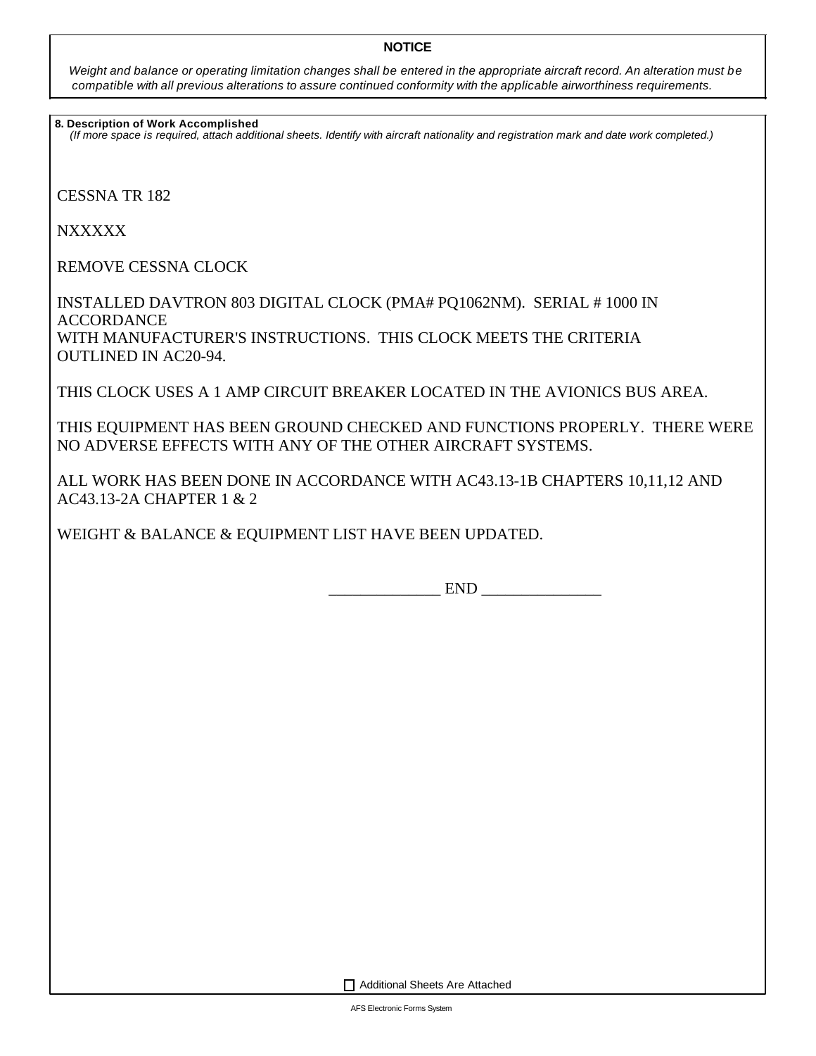## **NOTICE**

*Weight and balance or operating limitation changes shall be entered in the appropriate aircraft record. An alteration must be compatible with all previous alterations to assure continued conformity with the applicable airworthiness requirements.*

**8. Description of Work Accomplished**

*(If more space is required, attach additional sheets. Identify with aircraft nationality and registration mark and date work completed.)*

CESSNA TR 182

**NXXXXX** 

REMOVE CESSNA CLOCK

INSTALLED DAVTRON 803 DIGITAL CLOCK (PMA# PQ1062NM). SERIAL # 1000 IN ACCORDANCE WITH MANUFACTURER'S INSTRUCTIONS. THIS CLOCK MEETS THE CRITERIA OUTLINED IN AC20-94.

THIS CLOCK USES A 1 AMP CIRCUIT BREAKER LOCATED IN THE AVIONICS BUS AREA.

THIS EQUIPMENT HAS BEEN GROUND CHECKED AND FUNCTIONS PROPERLY. THERE WERE NO ADVERSE EFFECTS WITH ANY OF THE OTHER AIRCRAFT SYSTEMS.

ALL WORK HAS BEEN DONE IN ACCORDANCE WITH AC43.13-1B CHAPTERS 10,11,12 AND AC43.13-2A CHAPTER 1 & 2

WEIGHT & BALANCE & EQUIPMENT LIST HAVE BEEN UPDATED.

\_\_\_\_\_\_\_\_\_\_\_\_\_\_ END \_\_\_\_\_\_\_\_\_\_\_\_\_\_\_

Additional Sheets Are Attached